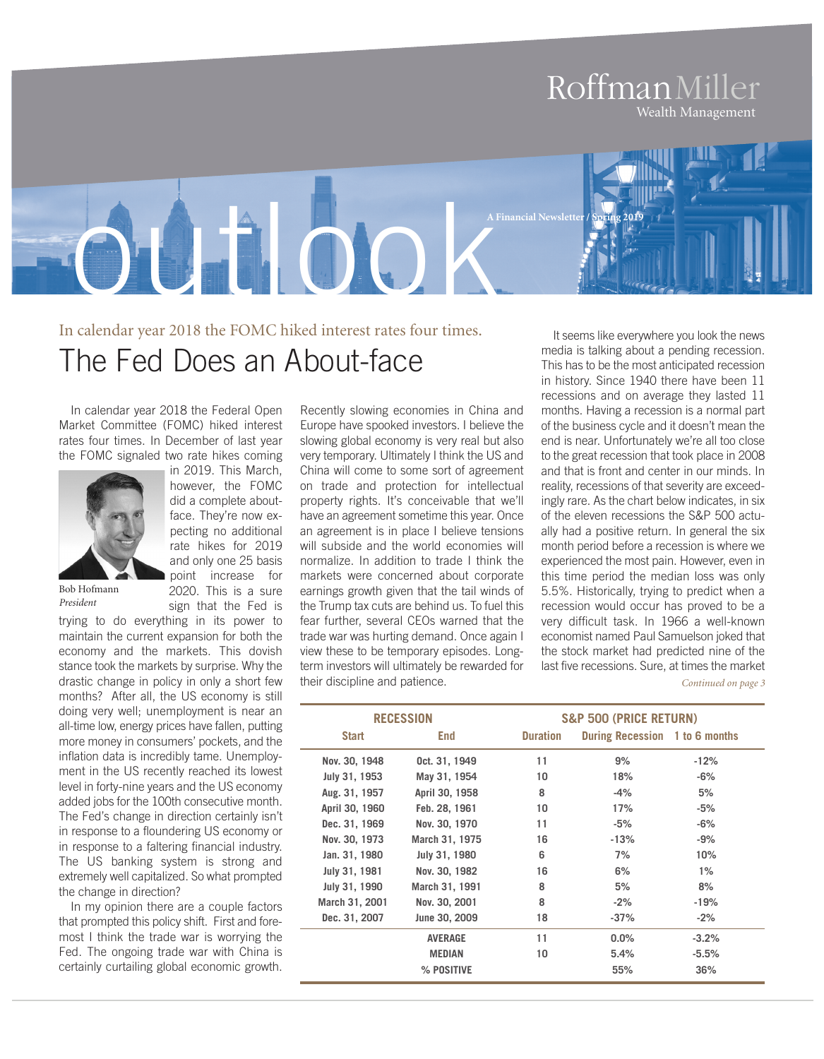#### RoffmanMiller Wealth Management

In calendar year 2018 the FOMC hiked interest rates four times. The Fed Does an About-face

ratioo

In calendar year 2018 the Federal Open Market Committee (FOMC) hiked interest rates four times. In December of last year the FOMC signaled two rate hikes coming



in 2019. This March, however, the FOMC did a complete aboutface. They're now expecting no additional rate hikes for 2019 and only one 25 basis point increase for 2020. This is a sure sign that the Fed is

Bob Hofmann *President*

trying to do everything in its power to maintain the current expansion for both the economy and the markets. This dovish stance took the markets by surprise. Why the drastic change in policy in only a short few months? After all, the US economy is still doing very well; unemployment is near an all-time low, energy prices have fallen, putting more money in consumers' pockets, and the inflation data is incredibly tame. Unemployment in the US recently reached its lowest level in forty-nine years and the US economy added jobs for the 100th consecutive month. The Fed's change in direction certainly isn't in response to a floundering US economy or in response to a faltering financial industry. The US banking system is strong and extremely well capitalized. So what prompted the change in direction?

In my opinion there are a couple factors that prompted this policy shift. First and foremost I think the trade war is worrying the Fed. The ongoing trade war with China is certainly curtailing global economic growth.

Recently slowing economies in China and Europe have spooked investors. I believe the slowing global economy is very real but also very temporary. Ultimately I think the US and China will come to some sort of agreement on trade and protection for intellectual property rights. It's conceivable that we'll have an agreement sometime this year. Once an agreement is in place I believe tensions will subside and the world economies will normalize. In addition to trade I think the markets were concerned about corporate earnings growth given that the tail winds of the Trump tax cuts are behind us. To fuel this fear further, several CEOs warned that the trade war was hurting demand. Once again I view these to be temporary episodes. Longterm investors will ultimately be rewarded for their discipline and patience.

It seems like everywhere you look the news media is talking about a pending recession. This has to be the most anticipated recession in history. Since 1940 there have been 11 recessions and on average they lasted 11 months. Having a recession is a normal part of the business cycle and it doesn't mean the end is near. Unfortunately we're all too close to the great recession that took place in 2008 and that is front and center in our minds. In reality, recessions of that severity are exceedingly rare. As the chart below indicates, in six of the eleven recessions the S&P 500 actually had a positive return. In general the six month period before a recession is where we experienced the most pain. However, even in this time period the median loss was only 5.5%. Historically, trying to predict when a recession would occur has proved to be a very difficult task. In 1966 a well-known economist named Paul Samuelson joked that the stock market had predicted nine of the last five recessions. Sure, at times the market *Continued on page 3*

| <b>RECESSION</b> |                | <b>S&amp;P 500 (PRICE RETURN)</b> |                                |         |
|------------------|----------------|-----------------------------------|--------------------------------|---------|
| <b>Start</b>     | End            | <b>Duration</b>                   | During Recession 1 to 6 months |         |
| Nov. 30, 1948    | Oct. 31, 1949  | 11                                | 9%                             | $-12%$  |
| July 31, 1953    | May 31, 1954   | 10                                | 18%                            | -6%     |
| Aug. 31, 1957    | April 30, 1958 | 8                                 | $-4%$                          | 5%      |
| April 30, 1960   | Feb. 28, 1961  | 10                                | 17%                            | $-5%$   |
| Dec. 31, 1969    | Nov. 30, 1970  | 11                                | -5%                            | -6%     |
| Nov. 30, 1973    | March 31, 1975 | 16                                | $-13%$                         | -9%     |
| Jan. 31, 1980    | July 31, 1980  | 6                                 | 7%                             | 10%     |
| July 31, 1981    | Nov. 30, 1982  | 16                                | 6%                             | $1\%$   |
| July 31, 1990    | March 31, 1991 | 8                                 | 5%                             | 8%      |
| March 31, 2001   | Nov. 30, 2001  | 8                                 | $-2%$                          | $-19%$  |
| Dec. 31, 2007    | June 30, 2009  | 18                                | $-37%$                         | $-2%$   |
|                  | <b>AVERAGE</b> | 11                                | $0.0\%$                        | $-3.2%$ |
|                  | <b>MEDIAN</b>  | 10                                | 5.4%                           | $-5.5%$ |
|                  | % POSITIVE     |                                   | 55%                            | 36%     |

**A Financial Newsletter/ Spring 2019**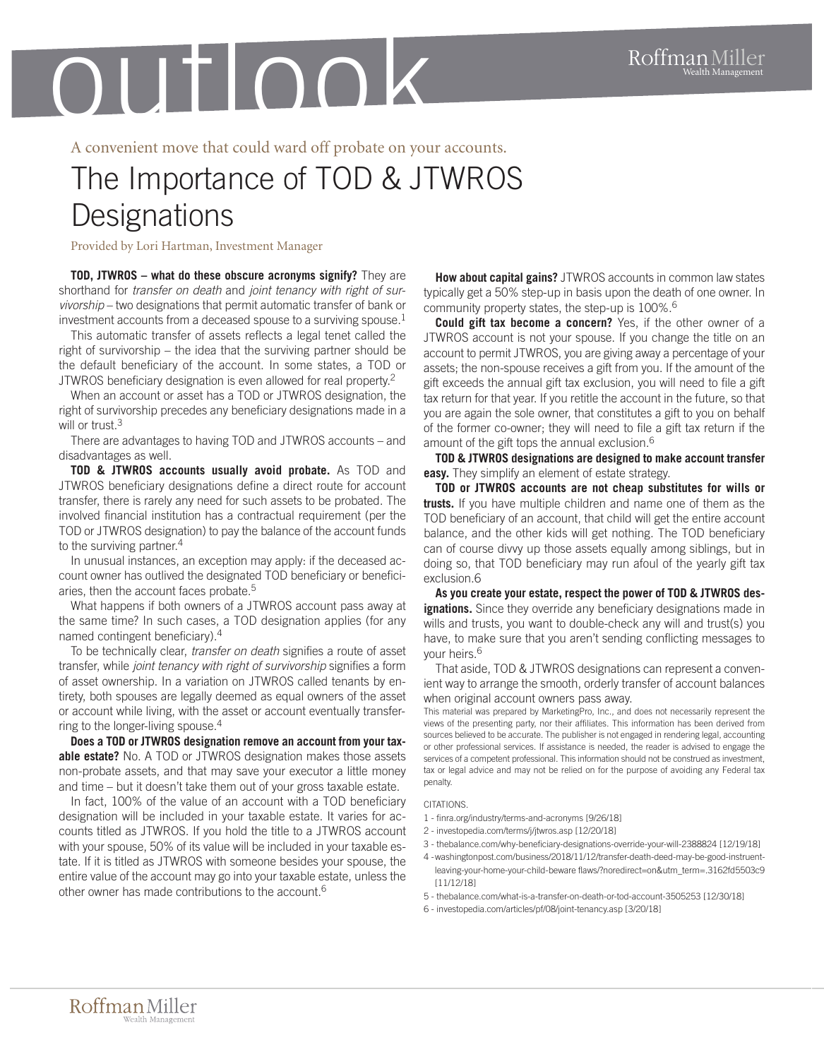A convenient move that could ward off probate on your accounts.

## The Importance of TOD & JTWROS **Designations**

Provided by Lori Hartman, Investment Manager

**TOD, JTWROS – what do these obscure acronyms signify?** They are shorthand for *transfer on death* and *joint tenancy with right of survivorship* – two designations that permit automatic transfer of bank or investment accounts from a deceased spouse to a surviving spouse. $^{\rm 1}$ 

This automatic transfer of assets reflects a legal tenet called the right of survivorship – the idea that the surviving partner should be the default beneficiary of the account. In some states, a TOD or JTWROS beneficiary designation is even allowed for real property.<sup>2</sup>

When an account or asset has a TOD or JTWROS designation, the right of survivorship precedes any beneficiary designations made in a will or trust. 3

There are advantages to having TOD and JTWROS accounts – and disadvantages as well.

**TOD & JTWROS accounts usually avoid probate.** As TOD and JTWROS beneficiary designations define a direct route for account transfer, there is rarely any need for such assets to be probated. The involved financial institution has a contractual requirement (per the TOD or JTWROS designation) to pay the balance of the account funds to the surviving partner. 4

In unusual instances, an exception may apply: if the deceased account owner has outlived the designated TOD beneficiary or beneficiaries, then the account faces probate. 5

What happens if both owners of a JTWROS account pass away at the same time? In such cases, a TOD designation applies (for any named contingent beneficiary). 4

To be technically clear, *transfer on death* signifies a route of asset transfer, while *joint tenancy with right of survivorship* signifies a form of asset ownership. In a variation on JTWROS called tenants by entirety, both spouses are legally deemed as equal owners of the asset or account while living, with the asset or account eventually transferring to the longer-living spouse. 4

**Does a TOD or JTWROS designation remove an account from your taxable estate?** No. A TOD or JTWROS designation makes those assets non-probate assets, and that may save your executor a little money and time – but it doesn't take them out of your gross taxable estate.

In fact, 100% of the value of an account with a TOD beneficiary designation will be included in your taxable estate. It varies for accounts titled as JTWROS. If you hold the title to a JTWROS account with your spouse, 50% of its value will be included in your taxable estate. If it is titled as JTWROS with someone besides your spouse, the entire value of the account may go into your taxable estate, unless the other owner has made contributions to the account. 6

**How about capital gains?** JTWROS accounts in common law states typically get a 50% step-up in basis upon the death of one owner. In community property states, the step-up is 100%. 6

**Could gift tax become a concern?** Yes, if the other owner of a JTWROS account is not your spouse. If you change the title on an account to permit JTWROS, you are giving away a percentage of your assets; the non-spouse receives a gift from you. If the amount of the gift exceeds the annual gift tax exclusion, you will need to file a gift tax return for that year. If you retitle the account in the future, so that you are again the sole owner, that constitutes a gift to you on behalf of the former co-owner; they will need to file a gift tax return if the amount of the gift tops the annual exclusion. 6

**TOD & JTWROS designations are designed to make account transfer easy.** They simplify an element of estate strategy.

**TOD or JTWROS accounts are not cheap substitutes for wills or trusts.** If you have multiple children and name one of them as the TOD beneficiary of an account, that child will get the entire account balance, and the other kids will get nothing. The TOD beneficiary can of course divvy up those assets equally among siblings, but in doing so, that TOD beneficiary may run afoul of the yearly gift tax exclusion.6

**As you create your estate, respect the power of TOD & JTWROS designations.** Since they override any beneficiary designations made in wills and trusts, you want to double-check any will and trust(s) you have, to make sure that you aren't sending conflicting messages to your heirs. 6

That aside, TOD & JTWROS designations can represent a convenient way to arrange the smooth, orderly transfer of account balances when original account owners pass away.

This material was prepared by MarketingPro, Inc., and does not necessarily represent the views of the presenting party, nor their affiliates. This information has been derived from sources believed to be accurate. The publisher is not engaged in rendering legal, accounting or other professional services. If assistance is needed, the reader is advised to engage the services of a competent professional. This information should not be construed as investment, tax or legal advice and may not be relied on for the purpose of avoiding any Federal tax penalty.

#### **CITATIONS**

- 1 finra.org/industry/terms-and-acronyms [9/26/18]
- 2 investopedia.com/terms/j/jtwros.asp [12/20/18]
- 3 thebalance.com/why-beneficiary-designations-override-your-will-2388824 [12/19/18]
- 4 -washingtonpost.com/business/2018/11/12/transfer-death-deed-may-be-good-instruentleaving-your-home-your-child-beware flaws/?noredirect=on&utm\_term=.3162fd5503c9 [11/12/18]
- 5 thebalance.com/what-is-a-transfer-on-death-or-tod-account-3505253 [12/30/18]
- 6 investopedia.com/articles/pf/08/joint-tenancy.asp [3/20/18]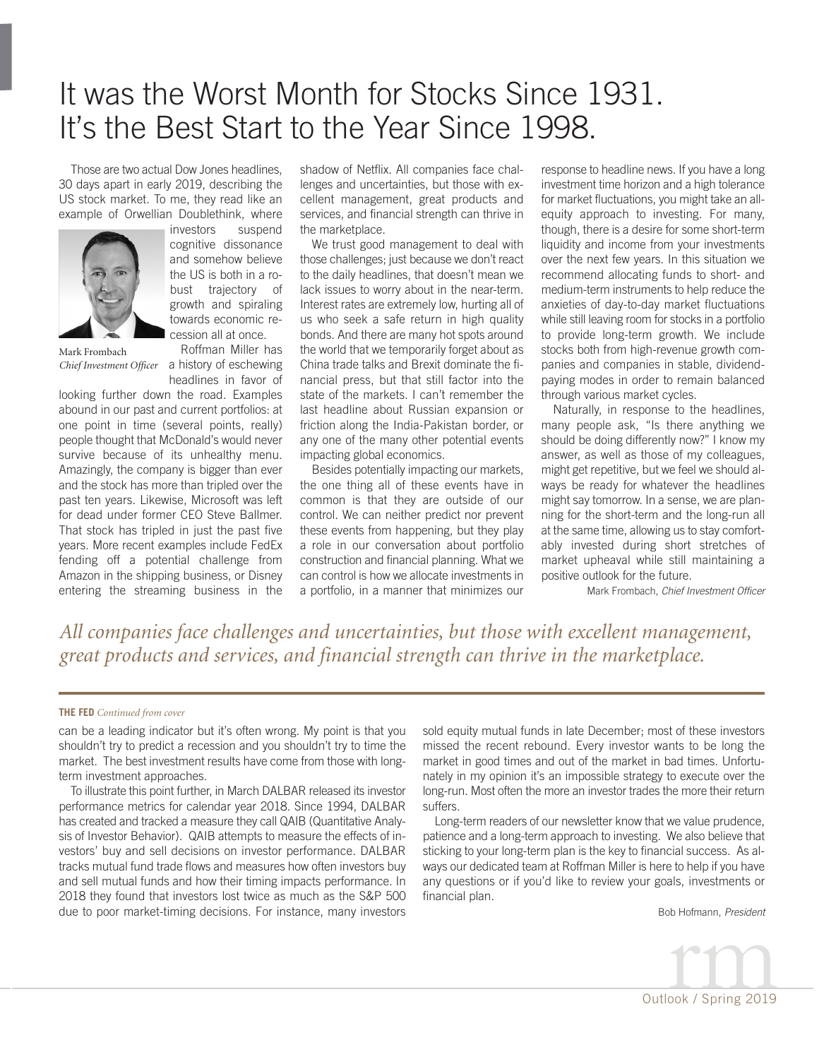### It was the Worst Month for Stocks Since 1931. It's the Best Start to the Year Since 1998.

Those are two actual Dow Jones headlines, 30 days apart in early 2019, describing the US stock market. To me, they read like an example of Orwellian Doublethink, where



investors suspend cognitive dissonance and somehow believe the US is both in a robust trajectory of growth and spiraling towards economic recession all at once.

Mark Frombach

Roffman Miller has *Chief Investment Officer* a history of eschewing headlines in favor of

looking further down the road. Examples abound in our past and current portfolios: at one point in time (several points, really) people thought that McDonald's would never survive because of its unhealthy menu. Amazingly, the company is bigger than ever and the stock has more than tripled over the past ten years. Likewise, Microsoft was left for dead under former CEO Steve Ballmer. That stock has tripled in just the past five years. More recent examples include FedEx fending off a potential challenge from Amazon in the shipping business, or Disney entering the streaming business in the

shadow of Netflix. All companies face challenges and uncertainties, but those with excellent management, great products and services, and financial strength can thrive in the marketplace.

We trust good management to deal with those challenges; just because we don't react to the daily headlines, that doesn't mean we lack issues to worry about in the near-term. Interest rates are extremely low, hurting all of us who seek a safe return in high quality bonds. And there are many hot spots around the world that we temporarily forget about as China trade talks and Brexit dominate the financial press, but that still factor into the state of the markets. I can't remember the last headline about Russian expansion or friction along the India-Pakistan border, or any one of the many other potential events impacting global economics.

Besides potentially impacting our markets, the one thing all of these events have in common is that they are outside of our control. We can neither predict nor prevent these events from happening, but they play a role in our conversation about portfolio construction and financial planning. What we can control is how we allocate investments in a portfolio, in a manner that minimizes our

response to headline news. If you have a long investment time horizon and a high tolerance for market fluctuations, you might take an allequity approach to investing. For many, though, there is a desire for some short-term liquidity and income from your investments over the next few years. In this situation we recommend allocating funds to short- and medium-term instruments to help reduce the anxieties of day-to-day market fluctuations while still leaving room for stocks in a portfolio to provide long-term growth. We include stocks both from high-revenue growth companies and companies in stable, dividendpaying modes in order to remain balanced through various market cycles.

Naturally, in response to the headlines, many people ask, "Is there anything we should be doing differently now?" I know my answer, as well as those of my colleagues, might get repetitive, but we feel we should always be ready for whatever the headlines might say tomorrow. In a sense, we are planning for the short-term and the long-run all at the same time, allowing us to stay comfortably invested during short stretches of market upheaval while still maintaining a positive outlook for the future.

Mark Frombach, *Chief Investment Officer*

*All companies face challenges and uncertainties, but those with excellent management, great products and services, and financial strength can thrive in the marketplace.*

#### **THE FED** *Continued from cover*

can be a leading indicator but it's often wrong. My point is that you shouldn't try to predict a recession and you shouldn't try to time the market. The best investment results have come from those with longterm investment approaches.

To illustrate this point further, in March DALBAR released its investor performance metrics for calendar year 2018. Since 1994, DALBAR has created and tracked a measure they call QAIB (Quantitative Analysis of Investor Behavior). QAIB attempts to measure the effects of investors' buy and sell decisions on investor performance. DALBAR tracks mutual fund trade flows and measures how often investors buy and sell mutual funds and how their timing impacts performance. In 2018 they found that investors lost twice as much as the S&P 500 due to poor market-timing decisions. For instance, many investors sold equity mutual funds in late December; most of these investors missed the recent rebound. Every investor wants to be long the market in good times and out of the market in bad times. Unfortunately in my opinion it's an impossible strategy to execute over the long-run. Most often the more an investor trades the more their return suffers.

Long-term readers of our newsletter know that we value prudence, patience and a long-term approach to investing. We also believe that sticking to your long-term plan is the key to financial success. As always our dedicated team at Roffman Miller is here to help if you have any questions or if you'd like to review your goals, investments or financial plan.

Bob Hofmann, *President*